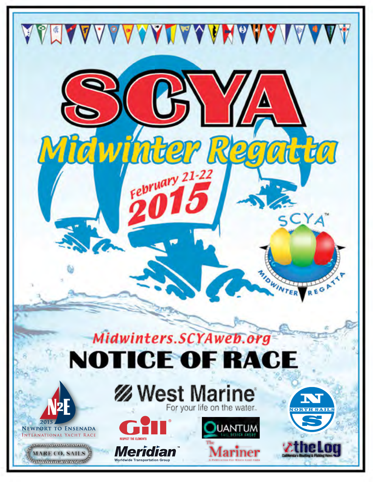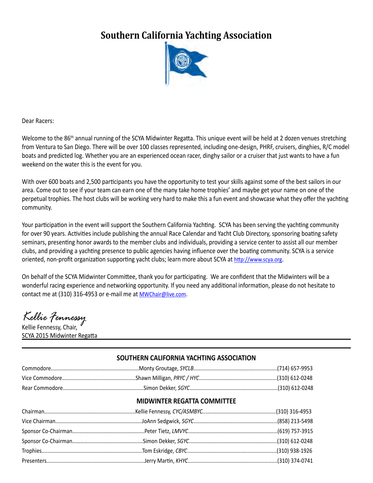# **Southern California Yachting Association**



Dear Racers:

Welcome to the 86<sup>th</sup> annual running of the SCYA Midwinter Regatta. This unique event will be held at 2 dozen venues stretching from Ventura to San Diego. There will be over 100 classes represented, including one-design, PHRF, cruisers, dinghies, R/C model boats and predicted log. Whether you are an experienced ocean racer, dinghy sailor or a cruiser that just wants to have a fun weekend on the water this is the event for you.

With over 600 boats and 2,500 participants you have the opportunity to test your skills against some of the best sailors in our area. Come out to see if your team can earn one of the many take home trophies' and maybe get your name on one of the perpetual trophies. The host clubs will be working very hard to make this a fun event and showcase what they offer the yachting community.

Your participation in the event will support the Southern California Yachting. SCYA has been serving the yachting community for over 90 years. Activities include publishing the annual Race Calendar and Yacht Club Directory, sponsoring boating safety seminars, presenting honor awards to the member clubs and individuals, providing a service center to assist all our member clubs, and providing a yachting presence to public agencies having influence over the boating community. SCYA is a service oriented, non-profit organization supporting yacht clubs; learn more about SCYA at <http://www.scya.org>.

On behalf of the SCYA Midwinter Committee, thank you for participating. We are confident that the Midwinters will be a wonderful racing experience and networking opportunity. If you need any additional information, please do not hesitate to contact me at (310) 316-4953 or e-mail me at [MWChair@live.com](mailto:MWChair@live.com).

*Kellie Fennessy*

Kellie Fennessy, Chair, SCYA 2015 Midwinter Regatta

#### **SOUTHERN CALIFORNIA YACHTING ASSOCIATION**

#### **MIDWINTER REGATTA COMMITTEE**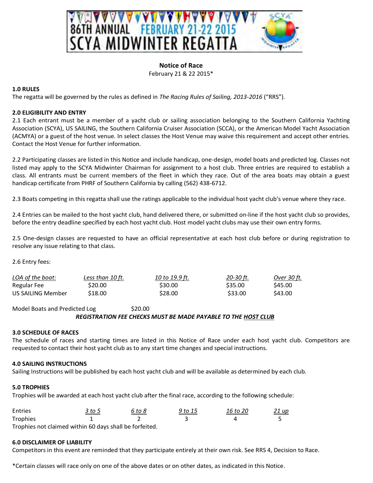

#### **Notice of Race** February 21 & 22 2015\*

#### **1.0 RULES**

The regatta will be governed by the rules as defined in *The Racing Rules of Sailing, 2013-2016* ("RRS").

#### **2.0 ELIGIBILITY AND ENTRY**

2.1 Each entrant must be a member of a yacht club or sailing association belonging to the Southern California Yachting Association (SCYA), US SAILING, the Southern California Cruiser Association (SCCA), or the American Model Yacht Association (ACMYA) or a guest of the host venue. In select classes the Host Venue may waive this requirement and accept other entries. Contact the Host Venue for further information.

2.2 Participating classes are listed in this Notice and include handicap, one-design, model boats and predicted log. Classes not listed may apply to the SCYA Midwinter Chairman for assignment to a host club. Three entries are required to establish a class. All entrants must be current members of the fleet in which they race. Out of the area boats may obtain a guest handicap certificate from PHRF of Southern California by calling (562) 438-6712.

2.3 Boats competing in this regatta shall use the ratings applicable to the individual host yacht club's venue where they race.

2.4 Entries can be mailed to the host yacht club, hand delivered there, or submitted on-line if the host yacht club so provides, before the entry deadline specified by each host yacht club. Host model yacht clubs may use their own entry forms.

2.5 One-design classes are requested to have an official representative at each host club before or during registration to resolve any issue relating to that class.

2.6 Entry fees:

| LOA of the boat:  | Less than 10 ft. | 10 to 19.9 ft. | 20-30 ft. | Over 30 ft. |
|-------------------|------------------|----------------|-----------|-------------|
| Regular Fee       | S20.00           | \$30.00        | \$35.00   | S45.00      |
| US SAILING Member | \$18.00          | \$28.00        | \$33.00   | S43.00      |

Model Boats and Predicted Log \$20.00 *REGISTRATION FEE CHECKS MUST BE MADE PAYABLE TO THE HOST CLUB*

#### **3.0 SCHEDULE OF RACES**

The schedule of races and starting times are listed in this Notice of Race under each host yacht club. Competitors are requested to contact their host yacht club as to any start time changes and special instructions.

#### **4.0 SAILING INSTRUCTIONS**

Sailing Instructions will be published by each host yacht club and will be available as determined by each club.

#### **5.0 TROPHIES**

Trophies will be awarded at each host yacht club after the final race, according to the following schedule:

| Entries  | 3 to 5 | 6 to 8 | 9 to 15 | 16 to 20 | <u> 21 up</u> |
|----------|--------|--------|---------|----------|---------------|
| Trophies |        |        |         |          |               |

Trophies not claimed within 60 days shall be forfeited.

#### **6.0 DISCLAIMER OF LIABILITY**

Competitors in this event are reminded that they participate entirely at their own risk. See RRS 4, Decision to Race.

\*Certain classes will race only on one of the above dates or on other dates, as indicated in this Notice.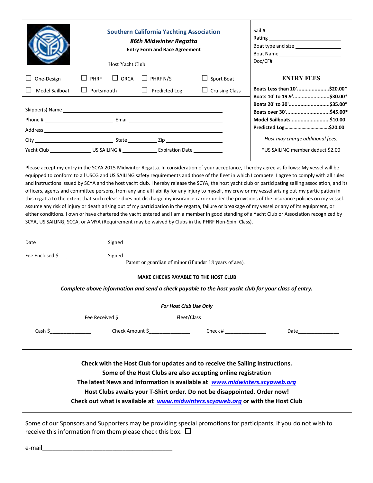|                                                                                                                                                                                                                                                                                                                                                                                                                                                                                                                                                                                                                                                                                                                                                                                                                                                                                                                                                                                                                                                                                                                                                                             | <b>Southern California Yachting Association</b><br>86th Midwinter Regatta<br><b>Entry Form and Race Agreement</b><br>Host Yacht Club |                                             | Boat type and size ___________________<br>Boat Name<br>Doc/CF# |                                                                                  |
|-----------------------------------------------------------------------------------------------------------------------------------------------------------------------------------------------------------------------------------------------------------------------------------------------------------------------------------------------------------------------------------------------------------------------------------------------------------------------------------------------------------------------------------------------------------------------------------------------------------------------------------------------------------------------------------------------------------------------------------------------------------------------------------------------------------------------------------------------------------------------------------------------------------------------------------------------------------------------------------------------------------------------------------------------------------------------------------------------------------------------------------------------------------------------------|--------------------------------------------------------------------------------------------------------------------------------------|---------------------------------------------|----------------------------------------------------------------|----------------------------------------------------------------------------------|
| One-Design                                                                                                                                                                                                                                                                                                                                                                                                                                                                                                                                                                                                                                                                                                                                                                                                                                                                                                                                                                                                                                                                                                                                                                  | $\Box$ ORCA<br>PHRF<br>$\Box$                                                                                                        | $\Box$ PHRF N/S                             | Sport Boat                                                     | <b>ENTRY FEES</b>                                                                |
| Model Sailboat                                                                                                                                                                                                                                                                                                                                                                                                                                                                                                                                                                                                                                                                                                                                                                                                                                                                                                                                                                                                                                                                                                                                                              | Portsmouth                                                                                                                           | $\Box$ Predicted Log                        | <b>Cruising Class</b>                                          | Boats Less than 10'\$20.00*                                                      |
|                                                                                                                                                                                                                                                                                                                                                                                                                                                                                                                                                                                                                                                                                                                                                                                                                                                                                                                                                                                                                                                                                                                                                                             |                                                                                                                                      |                                             |                                                                | Boats 10' to 19.9'\$30.00*<br>Boats 20' to 30'\$35.00*<br>Boats over 30'\$45.00* |
|                                                                                                                                                                                                                                                                                                                                                                                                                                                                                                                                                                                                                                                                                                                                                                                                                                                                                                                                                                                                                                                                                                                                                                             |                                                                                                                                      |                                             |                                                                | Model Sailboats\$10.00                                                           |
|                                                                                                                                                                                                                                                                                                                                                                                                                                                                                                                                                                                                                                                                                                                                                                                                                                                                                                                                                                                                                                                                                                                                                                             |                                                                                                                                      |                                             |                                                                |                                                                                  |
|                                                                                                                                                                                                                                                                                                                                                                                                                                                                                                                                                                                                                                                                                                                                                                                                                                                                                                                                                                                                                                                                                                                                                                             |                                                                                                                                      |                                             |                                                                | Host may charge additional fees.                                                 |
|                                                                                                                                                                                                                                                                                                                                                                                                                                                                                                                                                                                                                                                                                                                                                                                                                                                                                                                                                                                                                                                                                                                                                                             | Yacht Club _______________________US SAILING # __________________________________                                                    |                                             |                                                                | *US SAILING member deduct \$2.00                                                 |
| Please accept my entry in the SCYA 2015 Midwinter Regatta. In consideration of your acceptance, I hereby agree as follows: My vessel will be<br>equipped to conform to all USCG and US SAILING safety requirements and those of the fleet in which I compete. I agree to comply with all rules<br>and instructions issued by SCYA and the host yacht club. I hereby release the SCYA, the host yacht club or participating sailing association, and its<br>officers, agents and committee persons, from any and all liability for any injury to myself, my crew or my vessel arising out my participation in<br>this regatta to the extent that such release does not discharge my insurance carrier under the provisions of the insurance policies on my vessel. I<br>assume any risk of injury or death arising out of my participation in the regatta, failure or breakage of my vessel or any of its equipment, or<br>either conditions. I own or have chartered the yacht entered and I am a member in good standing of a Yacht Club or Association recognized by<br>SCYA, US SAILING, SCCA, or AMYA (Requirement may be waived by Clubs in the PHRF Non-Spin. Class). |                                                                                                                                      |                                             |                                                                |                                                                                  |
|                                                                                                                                                                                                                                                                                                                                                                                                                                                                                                                                                                                                                                                                                                                                                                                                                                                                                                                                                                                                                                                                                                                                                                             |                                                                                                                                      |                                             |                                                                |                                                                                  |
| Fee Enclosed \$                                                                                                                                                                                                                                                                                                                                                                                                                                                                                                                                                                                                                                                                                                                                                                                                                                                                                                                                                                                                                                                                                                                                                             |                                                                                                                                      |                                             |                                                                |                                                                                  |
|                                                                                                                                                                                                                                                                                                                                                                                                                                                                                                                                                                                                                                                                                                                                                                                                                                                                                                                                                                                                                                                                                                                                                                             |                                                                                                                                      |                                             | Parent or guardian of minor (if under 18 years of age).        |                                                                                  |
|                                                                                                                                                                                                                                                                                                                                                                                                                                                                                                                                                                                                                                                                                                                                                                                                                                                                                                                                                                                                                                                                                                                                                                             |                                                                                                                                      | <b>MAKE CHECKS PAYABLE TO THE HOST CLUB</b> |                                                                |                                                                                  |
| Complete above information and send a check payable to the host yacht club for your class of entry.                                                                                                                                                                                                                                                                                                                                                                                                                                                                                                                                                                                                                                                                                                                                                                                                                                                                                                                                                                                                                                                                         |                                                                                                                                      |                                             |                                                                |                                                                                  |
| For Host Club Use Only                                                                                                                                                                                                                                                                                                                                                                                                                                                                                                                                                                                                                                                                                                                                                                                                                                                                                                                                                                                                                                                                                                                                                      |                                                                                                                                      |                                             |                                                                |                                                                                  |
|                                                                                                                                                                                                                                                                                                                                                                                                                                                                                                                                                                                                                                                                                                                                                                                                                                                                                                                                                                                                                                                                                                                                                                             |                                                                                                                                      |                                             |                                                                |                                                                                  |
| Cash \$                                                                                                                                                                                                                                                                                                                                                                                                                                                                                                                                                                                                                                                                                                                                                                                                                                                                                                                                                                                                                                                                                                                                                                     |                                                                                                                                      |                                             |                                                                |                                                                                  |
| Check with the Host Club for updates and to receive the Sailing Instructions.<br>Some of the Host Clubs are also accepting online registration<br>The latest News and Information is available at www.midwinters.scyaweb.org<br>Host Clubs awaits your T-Shirt order. Do not be disappointed. Order now!<br>Check out what is available at www.midwinters.scyaweb.org or with the Host Club                                                                                                                                                                                                                                                                                                                                                                                                                                                                                                                                                                                                                                                                                                                                                                                 |                                                                                                                                      |                                             |                                                                |                                                                                  |
| Some of our Sponsors and Supporters may be providing special promotions for participants, if you do not wish to<br>receive this information from them please check this box. $\Box$                                                                                                                                                                                                                                                                                                                                                                                                                                                                                                                                                                                                                                                                                                                                                                                                                                                                                                                                                                                         |                                                                                                                                      |                                             |                                                                |                                                                                  |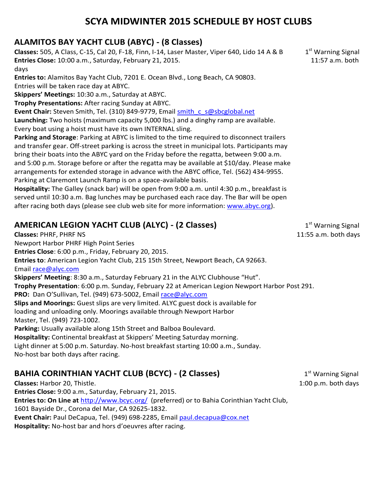## **SCYA MIDWINTER 2015 SCHEDULE BY HOST CLUBS**

### **ALAMITOS BAY YACHT CLUB (ABYC) - (8 Classes)**

**Classes:** 505, A Class, C-15, Cal 20, F-18, Finn, I-14, Laser Master, Viper 640, Lido 14 A & B 1st Warning Signal **Entries Close:** 10:00 a.m., Saturday, February 21, 2015. 11:57 a.m. both

days

**Entries to:** Alamitos Bay Yacht Club, 7201 E. Ocean Blvd., Long Beach, CA 90803.

Entries will be taken race day at ABYC.

**Skippers' Meetings:** 10:30 a.m., Saturday at ABYC.

**Trophy Presentations:** After racing Sunday at ABYC.

Event Chair: Steven Smith, Tel. (310) 849-9779, Email smith c s@sbcglobal.net

**Launching:** Two hoists (maximum capacity 5,000 lbs.) and a dinghy ramp are available.

Every boat using a hoist must have its own INTERNAL sling.

**Parking and Storage**: Parking at ABYC is limited to the time required to disconnect trailers and transfer gear. Off-street parking is across the street in municipal lots. Participants may bring their boats into the ABYC yard on the Friday before the regatta, between 9:00 a.m. and 5:00 p.m. Storage before or after the regatta may be available at \$10/day. Please make arrangements for extended storage in advance with the ABYC office, Tel. (562) 434-9955. Parking at Claremont Launch Ramp is on a space-available basis.

**Hospitality:** The Galley (snack bar) will be open from 9:00 a.m. until 4:30 p.m., breakfast is served until 10:30 a.m. Bag lunches may be purchased each race day. The Bar will be open after racing both days (please see club web site for more information: www.abyc.org).

## **AMERICAN LEGION YACHT CLUB (ALYC) - (2 Classes)** 1st Marning Signal 1st Warning Signal

**Classes: PHRF, PHRF NS** 11:55 a.m. both days Newport Harbor PHRF High Point Series **Entries Close**: 6:00 p.m., Friday, February 20, 2015. **Entries to**: American Legion Yacht Club, 215 15th Street, Newport Beach, CA 92663. Email race@alyc.com **Skippers' Meeting**: 8:30 a.m., Saturday February 21 in the ALYC Clubhouse "Hut". **Trophy Presentation**: 6:00 p.m. Sunday, February 22 at American Legion Newport Harbor Post 291. PRO: Dan O'Sullivan, Tel. (949) 673-5002, Email race@alyc.com **Slips and Moorings:** Guest slips are very limited. ALYC guest dock is available for loading and unloading only. Moorings available through Newport Harbor Master, Tel. (949) 723-1002. **Parking:** Usually available along 15th Street and Balboa Boulevard. **Hospitality:** Continental breakfast at Skippers' Meeting Saturday morning. Light dinner at 5:00 p.m. Saturday. No-host breakfast starting 10:00 a.m., Sunday. No-host bar both days after racing.

## **BAHIA CORINTHIAN YACHT CLUB (BCYC) - (2 Classes)** 1st Marning Signal

**Classes:** Harbor 20, Thistle. 1:00 p.m. both days **Entries Close:** 9:00 a.m., Saturday, February 21, 2015. **Entries to: On Line at** http://www.bcyc.org/ (preferred) or to Bahia Corinthian Yacht Club, 1601 Bayside Dr., Corona del Mar, CA 92625-1832. **Event Chair:** Paul DeCapua, Tel. (949) 698-2285, Email paul.decapua@cox.net **Hospitality:** No-host bar and hors d'oeuvres after racing.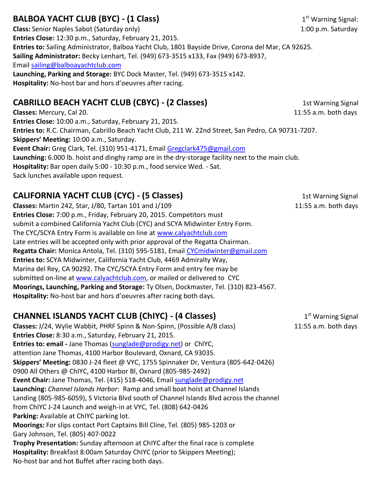# **BALBOA YACHT CLUB (BYC) - (1 Class) 1st Access 1** 1st Warning Signal:

**Class:** Senior Naples Sabot (Saturday only) 1:00 p.m. Saturday 1:00 p.m. Saturday **Entries Close:** 12:30 p.m., Saturday, February 21, 2015. **Entries to:** Sailing Administrator, Balboa Yacht Club, 1801 Bayside Drive, Corona del Mar, CA 92625. **Sailing Administrator:** Becky Lenhart, Tel. (949) 673-3515 x133, Fax (949) 673-8937, Email sailing@balboayachtclub.com **Launching, Parking and Storage:** BYC Dock Master, Tel. (949) 673-3515 x142. **Hospitality:** No-host bar and hors d'oeuvres after racing.

# **CABRILLO BEACH YACHT CLUB (CBYC) - (2 Classes)** 1st Warning Signal

**Classes:** Mercury, Cal 20. 11:55 a.m. both days **Entries Close:** 10:00 a.m., Saturday, February 21, 2015. **Entries to:** R.C. Chairman, Cabrillo Beach Yacht Club, 211 W. 22nd Street, San Pedro, CA 90731-7207. **Skippers' Meeting:** 10:00 a.m., Saturday. **Event Chair:** Greg Clark, Tel. (310) 951-4171, Email Gregclark475@gmail.com **Launching:** 6.000 lb. hoist and dinghy ramp are in the dry-storage facility next to the main club. **Hospitality:** Bar open daily 5:00 - 10:30 p.m., food service Wed. - Sat. Sack lunches available upon request.

# **CALIFORNIA YACHT CLUB (CYC) - (5 Classes)** 1st Warning Signal

**Classes:** Martin 242, Star, J/80, Tartan 101 and J/109 11:55 a.m. both days **Entries Close:** 7:00 p.m., Friday, February 20, 2015. Competitors must submit a combined California Yacht Club (CYC) and SCYA Midwinter Entry Form. The CYC/SCYA Entry Form is available on line at www.calyachtclub.com Late entries will be accepted only with prior approval of the Regatta Chairman. **Regatta Chair:** Monica Antola, Tel. (310) 595-5181, Email CYCmidwinter@gmail.com **Entries to:** SCYA Midwinter, California Yacht Club, 4469 Admiralty Way, Marina del Rey, CA 90292. The CYC/SCYA Entry Form and entry fee may be submitted on-line at www.calyachtclub.com, or mailed or delivered to CYC **Moorings, Launching, Parking and Storage:** Ty Olsen, Dockmaster, Tel. (310) 823-4567. **Hospitality:** No-host bar and hors d'oeuvres after racing both days.

# **CHANNEL ISLANDS YACHT CLUB (ChIYC) - (4 Classes)** 1st Marning Signal

**Classes:** J/24, Wylie Wabbit, PHRF Spinn & Non-Spinn, (Possible A/B class) 11:55 a.m. both days **Entries Close:** 8:30 a.m., Saturday, February 21, 2015. **Entries to: email -** Jane Thomas (sunglade@prodigy.net) or ChIYC, attention Jane Thomas, 4100 Harbor Boulevard, Oxnard, CA 93035. **Skippers' Meeting:** 0830 J-24 fleet @ VYC, 1755 Spinnaker Dr, Ventura (805-642-0426) 0900 All Others @ ChIYC, 4100 Harbor Bl, Oxnard (805-985-2492) **Event Chair:** Jane Thomas, Tel. (415) 518-4046, Email sunglade@prodigy.net **Launching:** *Channel Islands Harbor*: Ramp and small boat hoist at Channel Islands Landing (805-985-6059), S Victoria Blvd south of Channel Islands Blvd across the channel from ChIYC J-24 Launch and weigh-in at VYC, Tel. (808) 642-0426 **Parking:** Available at ChIYC parking lot. **Moorings:** For slips contact Port Captains Bill Cline, Tel. (805) 985-1203 or Gary Johnson, Tel. (805) 407-0022 **Trophy Presentation:** Sunday afternoon at ChIYC after the final race is complete **Hospitality:** Breakfast 8:00am Saturday ChIYC (prior to Skippers Meeting); No-host bar and hot Buffet after racing both days.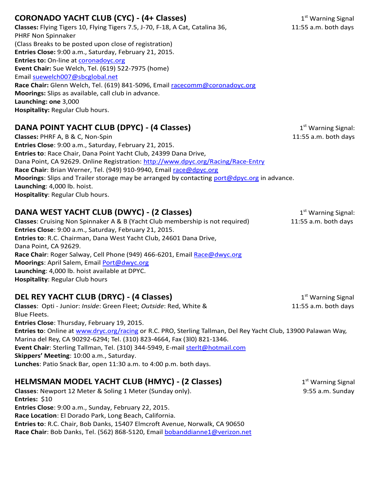## **CORONADO YACHT CLUB (CYC) - (4+ Classes)** 1st Marning Signal 1st Warning Signal

**Classes:** Flying Tigers 10, Flying Tigers 7.5, J-70, F-18, A Cat, Catalina 36, 11:55 a.m. both days PHRF Non Spinnaker (Class Breaks to be posted upon close of registration) **Entries Close:** 9:00 a.m., Saturday, February 21, 2015. **Entries to:** On-line at **coronadoyc.org Event Chair:** Sue Welch, Tel. (619) 522-7975 (home) Email suewelch007@sbcglobal.net Race Chair: Glenn Welch, Tel. (619) 841-5096, Email racecomm@coronadoyc.org **Moorings:** Slips as available, call club in advance. **Launching: one** 3,000 **Hospitality:** Regular Club hours.

## **DANA POINT YACHT CLUB (DPYC) - (4 Classes)** 1st Marning Signal:

**Classes:** PHRF A, B & C, Non-Spin 11:55 a.m. both days **Entries Close**: 9:00 a.m., Saturday, February 21, 2015. **Entries to**: Race Chair, Dana Point Yacht Club, 24399 Dana Drive, Dana Point, CA 92629. Online Registration: http://www.dpyc.org/Racing/Race-Entry Race Chair: Brian Werner, Tel. (949) 910-9940, Email race@dpyc.org **Moorings**: Slips and Trailer storage may be arranged by contacting port@dpyc.org in advance. **Launching**: 4,000 lb. hoist. **Hospitality**: Regular Club hours.

# **DANA WEST YACHT CLUB (DWYC) - (2 Classes)** 1st Marning Signal:

**Classes**: Cruising Non Spinnaker A & B (Yacht Club membership is not required) 11:55 a.m. both days **Entries Close**: 9:00 a.m., Saturday, February 21, 2015. **Entries to**: R.C. Chairman, Dana West Yacht Club, 24601 Dana Drive, Dana Point, CA 92629. **Race Chair**: Roger Salway, Cell Phone (949) 466-6201, Email Race@dwyc.org **Moorings**: April Salem, Email Port@dwyc.org **Launching**: 4,000 lb. hoist available at DPYC. **Hospitality**: Regular Club hours

### **DEL REY YACHT CLUB (DRYC) - (4 Classes)** 1st 1st Marning Signal

**Classes**: Opti - Junior: *Inside*: Green Fleet; *Outside*: Red, White & 11:55 a.m. both days Blue Fleets. **Entries Close**: Thursday, February 19, 2015. **Entries to**: Online at www.dryc.org/racing or R.C. PRO, Sterling Tallman, Del Rey Yacht Club, 13900 Palawan Way, Marina del Rey, CA 90292-6294; Tel. (310) 823-4664, Fax (3l0) 821-1346. **Event Chair**: Sterling Tallman, Tel. (310) 344-5949, E-mail sterlt@hotmail.com **Skippers' Meeting**: 10:00 a.m., Saturday. **Lunches**: Patio Snack Bar, open 11:30 a.m. to 4:00 p.m. both days.

# **HELMSMAN MODEL YACHT CLUB (HMYC) - (2 Classes)** 1st Marning Signal

**Classes**: Newport 12 Meter & Soling 1 Meter (Sunday only). **9:55 a.m.** Sunday 9:55 a.m. Sunday **Entries:** \$10 **Entries Close**: 9:00 a.m., Sunday, February 22, 2015. **Race Location**: El Dorado Park, Long Beach, California. **Entries to**: R.C. Chair, Bob Danks, 15407 Elmcroft Avenue, Norwalk, CA 90650 Race Chair: Bob Danks, Tel. (562) 868-5120, Email bobanddianne1@verizon.net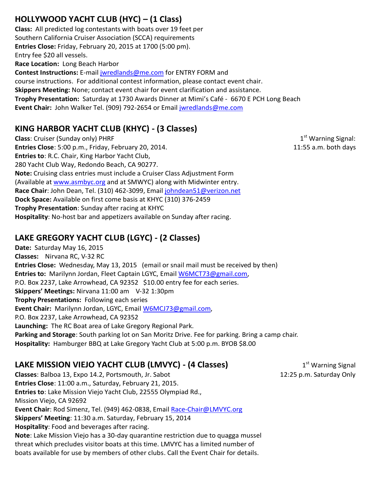## **HOLLYWOOD YACHT CLUB (HYC) – (1 Class)**

**Class:** All predicted log contestants with boats over 19 feet per Southern California Cruiser Association (SCCA) requirements **Entries Close:** Friday, February 20, 2015 at 1700 (5:00 pm). Entry fee \$20 all vessels. **Race Location:** Long Beach Harbor **Contest Instructions:** E-mail jwredlands@me.com for ENTRY FORM and course instructions. For additional contest information, please contact event chair. **Skippers Meeting:** None; contact event chair for event clarification and assistance. **Trophy Presentation:** Saturday at 1730 Awards Dinner at Mimi's Café - 6670 E PCH Long Beach **Event Chair:** John Walker Tel. (909) 792-2654 or Email jwredlands@me.com

### **KING HARBOR YACHT CLUB (KHYC) - (3 Classes)**

**Class**: Cruiser (Sunday only) PHRF 1st Warning Signal: 1st Warning Signal: **Entries Close**: 5:00 p.m., Friday, February 20, 2014. 11:55 a.m. both days **Entries to**: R.C. Chair, King Harbor Yacht Club, 280 Yacht Club Way, Redondo Beach, CA 90277. **Note:** Cruising class entries must include a Cruiser Class Adjustment Form (Available at www.asmbyc.org and at SMWYC) along with Midwinter entry. **Race Chair**: John Dean, Tel. (310) 462-3099, Email johndean51@verizon.net **Dock Space:** Available on first come basis at KHYC (310) 376-2459 **Trophy Presentation**: Sunday after racing at KHYC **Hospitality**: No-host bar and appetizers available on Sunday after racing.

### **LAKE GREGORY YACHT CLUB (LGYC) - (2 Classes)**

**Date:** Saturday May 16, 2015 **Classes:** Nirvana RC, V-32 RC **Entries Close:** Wednesday, May 13, 2015 (email or snail mail must be received by then) **Entries to:** Marilynn Jordan, Fleet Captain LGYC, Email W6MCT73@gmail.com, P.O. Box 2237, Lake Arrowhead, CA 92352 \$10.00 entry fee for each series. **Skippers' Meetings:** Nirvana 11:00 am V-32 1:30pm **Trophy Presentations:** Following each series **Event Chair:** Marilynn Jordan, LGYC, Email W6MCJ73@gmail.com, P.O. Box 2237, Lake Arrowhead, CA 92352 **Launching:** The RC Boat area of Lake Gregory Regional Park. **Parking and Storage**: South parking lot on San Moritz Drive. Fee for parking. Bring a camp chair. **Hospitality:** Hamburger BBQ at Lake Gregory Yacht Club at 5:00 p.m. BYOB \$8.00

### **LAKE MISSION VIEJO YACHT CLUB (LMVYC) - (4 Classes)** 1st Warning Signal

**Classes**: Balboa 13, Expo 14.2, Portsmouth, Jr. Sabot 12:25 p.m. Saturday Only **Entries Close**: 11:00 a.m., Saturday, February 21, 2015. **Entries to**: Lake Mission Viejo Yacht Club, 22555 Olympiad Rd., Mission Viejo, CA 92692 **Event Chair**: Rod Simenz, Tel. (949) 462-0838, Email Race-Chair@LMVYC.org **Skippers' Meeting**: 11:30 a.m. Saturday, February 15, 2014 **Hospitality**: Food and beverages after racing. **Note**: Lake Mission Viejo has a 30-day quarantine restriction due to quagga mussel threat which precludes visitor boats at this time. LMVYC has a limited number of boats available for use by members of other clubs. Call the Event Chair for details.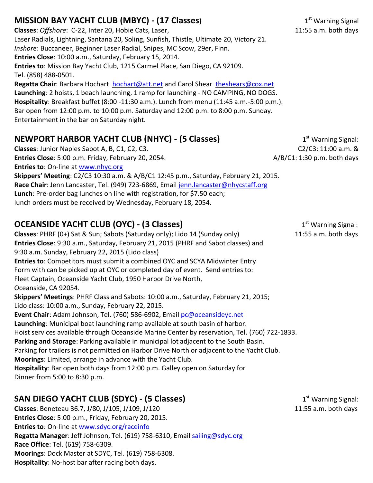# **MISSION BAY YACHT CLUB (MBYC) - (17 Classes)** 1st 1st Warning Signal

**Classes**: *Offshore*: C-22, Inter 20, Hobie Cats, Laser, 11:55 a.m. both days Laser Radials, Lightning, Santana 20, Soling, Sunfish, Thistle, Ultimate 20, Victory 21. *Inshore*: Buccaneer, Beginner Laser Radial, Snipes, MC Scow, 29er, Finn. **Entries Close**: 10:00 a.m., Saturday, February 15, 2014. **Entries to**: Mission Bay Yacht Club, 1215 Carmel Place, San Diego, CA 92109. Tel. (858) 488-0501.

**Regatta Chair**: Barbara Hochart hochart@att.net and Carol Shear theshears@cox.net **Launching**: 2 hoists, 1 beach launching, 1 ramp for launching - NO CAMPING, NO DOGS. **Hospitality**: Breakfast buffet (8:00 -11:30 a.m.). Lunch from menu (11:45 a.m.-5:00 p.m.). Bar open from 12:00 p.m. to 10:00 p.m. Saturday and 12:00 p.m. to 8:00 p.m. Sunday. Entertainment in the bar on Saturday night.

## **NEWPORT HARBOR YACHT CLUB (NHYC) - (5 Classes)** 1st Marning Signal:

**Classes**: Junior Naples Sabot A, B, C1, C2, C3. C2/C3: 11:00 a.m. & **Entries Close**: 5:00 p.m. Friday, February 20, 2054. A/B/C1: 1:30 p.m. both days **Entries to**: On-line at www.nhyc.org

**Skippers' Meeting**: C2/C3 10:30 a.m. & A/B/C1 12:45 p.m., Saturday, February 21, 2015. Race Chair: Jenn Lancaster, Tel. (949) 723-6869, Email jenn.lancaster@nhycstaff.org **Lunch**: Pre-order bag lunches on line with registration, for \$7.50 each; lunch orders must be received by Wednesday, February 18, 2054.

# **OCEANSIDE YACHT CLUB (OYC) - (3 Classes)** 1<sup>st</sup> Warning Signal:

**Classes**: PHRF (0+) Sat & Sun; Sabots (Saturday only); Lido 14 (Sunday only) 11:55 a.m. both days **Entries Close**: 9:30 a.m., Saturday, February 21, 2015 (PHRF and Sabot classes) and 9:30 a.m. Sunday, February 22, 2015 (Lido class) **Entries to**: Competitors must submit a combined OYC and SCYA Midwinter Entry Form with can be picked up at OYC or completed day of event. Send entries to: Fleet Captain, Oceanside Yacht Club, 1950 Harbor Drive North, Oceanside, CA 92054. **Skippers' Meetings**: PHRF Class and Sabots: 10:00 a.m., Saturday, February 21, 2015; Lido class: 10:00 a.m., Sunday, February 22, 2015. **Event Chair**: Adam Johnson, Tel. (760) 586-6902, Email pc@oceansideyc.net **Launching**: Municipal boat launching ramp available at south basin of harbor. Hoist services available through Oceanside Marine Center by reservation, Tel. (760) 722-1833. **Parking and Storage**: Parking available in municipal lot adjacent to the South Basin. Parking for trailers is not permitted on Harbor Drive North or adjacent to the Yacht Club. **Moorings**: Limited, arrange in advance with the Yacht Club. **Hospitality**: Bar open both days from 12:00 p.m. Galley open on Saturday for Dinner from 5:00 to 8:30 p.m.

# **SAN DIEGO YACHT CLUB (SDYC) - (5 Classes)** 1st 1st Warning Signal:

**Classes**: Beneteau 36.7, J/80, J/105, J/109, J/120 11:55 a.m. both days **Entries Close**: 5:00 p.m., Friday, February 20, 2015. **Entries to**: On-line at www.sdyc.org/raceinfo Regatta Manager: Jeff Johnson, Tel. (619) 758-6310, Email sailing@sdyc.org **Race Office**: Tel. (619) 758-6309. **Moorings**: Dock Master at SDYC, Tel. (619) 758-6308. **Hospitality**: No-host bar after racing both days.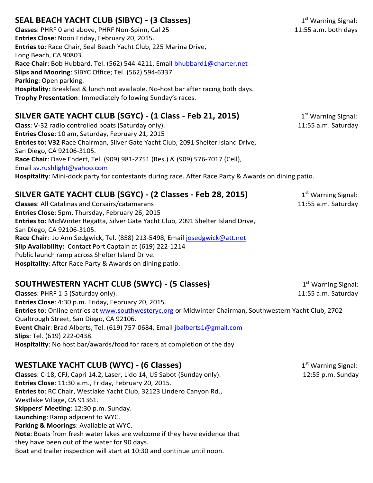## **SEAL BEACH YACHT CLUB (SIBYC) - (3 Classes)** 1st 1st Warning Signal:

Classes: PHRF 0 and above, PHRF Non-Spinn, Cal 25 11:55 a.m. both days **Entries Close**: Noon Friday, February 20, 2015. **Entries to**: Race Chair, Seal Beach Yacht Club, 225 Marina Drive, Long Beach, CA 90803. **Race Chair**: Bob Hubbard, Tel. (562) 544-4211, Email bhubbard1@charter.net **Slips and Mooring**: SlBYC Office; Tel. (562) 594-6337 **Parking**: Open parking. **Hospitality**: Breakfast & lunch not available. No-host bar after racing both days. **Trophy Presentation**: Immediately following Sunday's races.

### **SILVER GATE YACHT CLUB (SGYC) - (1 Class - Feb 21, 2015)** 1st Warning Signal:

**Class**: V-32 radio controlled boats (Saturday only). 11:55 a.m. Saturday only and the same saturday only and the same saturday only and the same saturday only and the same saturday only and the same saturday only and the **Entries Close**: 10 am, Saturday, February 21, 2015 **Entries to: V32** Race Chairman, Silver Gate Yacht Club, 2091 Shelter Island Drive, San Diego, CA 92106-3105. **Race Chair**: Dave Endert, Tel. (909) 981-2751 (Res.) & (909) 576-7017 (Cell), Email sv.rushlight@yahoo.com **Hospitality**: Mini-dock party for contestants during race. After Race Party & Awards on dining patio.

## **SILVER GATE YACHT CLUB (SGYC) - (2 Classes - Feb 28, 2015)** 1st Warning Signal:

**Classes**: All Catalinas and Corsairs/catamarans 11:55 a.m. Saturday **Entries Close**: 5pm, Thursday, February 26, 2015 **Entries to:** MidWinter Regatta, Silver Gate Yacht Club, 2091 Shelter Island Drive, San Diego, CA 92106-3105. **Race Chair**: Jo Ann Sedgwick, Tel. (858) 213-5498, Email josedgwick@att.net **Slip Availability:** Contact Port Captain at (619) 222-1214 Public launch ramp across Shelter Island Drive. **Hospitality**: After Race Party & Awards on dining patio.

### **SOUTHWESTERN YACHT CLUB (SWYC) - (5 Classes)** 1st Marning Signal:

**Classes**: PHRF 1-5 (Saturday only). 11:55 a.m. Saturday **Entries Close**: 4:30 p.m. Friday, February 20, 2015. **Entries to**: Online entries at www.southwesteryc.org or Midwinter Chairman, Southwestern Yacht Club, 2702 Qualtrough Street, San Diego, CA 92106. **Event Chair**: Brad Alberts, Tel. (619) 757-0684, Email jbalberts1@gmail.com **Slips**: Tel. (619) 222-0438. **Hospitality**: No host bar/awards/food for racers at completion of the day

# **WESTLAKE YACHT CLUB (WYC) - (6 Classes)** 1st Marning Signal:

**Classes**: C-18, CFJ, Capri 14.2, Laser, Lido 14, US Sabot (Sunday only). 12:55 p.m. Sunday **Entries Close**: 11:30 a.m., Friday, February 20, 2015. **Entries to**: RC Chair, Westlake Yacht Club, 32123 Lindero Canyon Rd., Westlake Village, CA 91361. **Skippers' Meeting**: 12:30 p.m. Sunday. **Launching**: Ramp adjacent to WYC. **Parking & Moorings**: Available at WYC. **Note**: Boats from fresh water lakes are welcome if they have evidence that they have been out of the water for 90 days. Boat and trailer inspection will start at 10:30 and continue until noon.